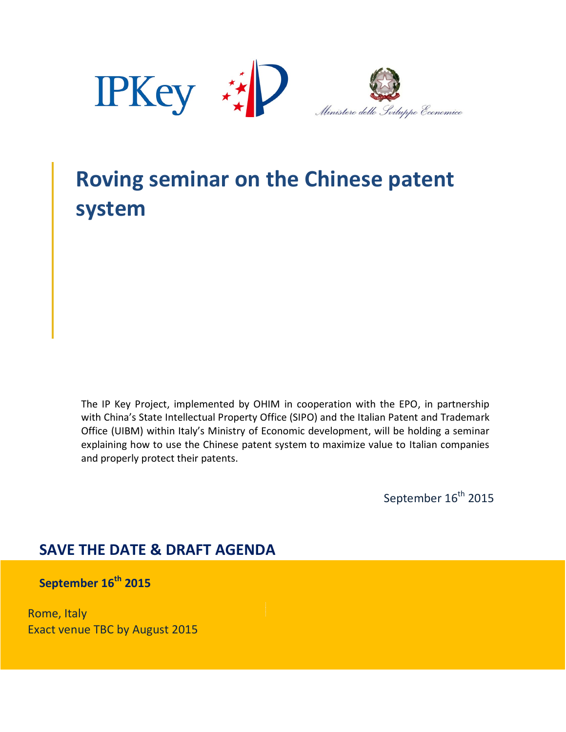

# **Roving seminar on the Chinese patent system**

The IP Key Project, implemented by OHIM in cooperation with the EPO, in partnership with China's State Intellectual Property Office (SIPO) and the Italian Patent and Trademark Office (UIBM) within Italy's Ministry of Economic development, will be holding a seminar explaining how to use the Chinese patent system to maximize value to Italian companies and properly protect their patents.

September 16<sup>th</sup> 2015

### **SAVE THE DATE & DRAFT AGENDA**

**September 16th 2015**

Rome, Italy Exact venue TBC by August 2015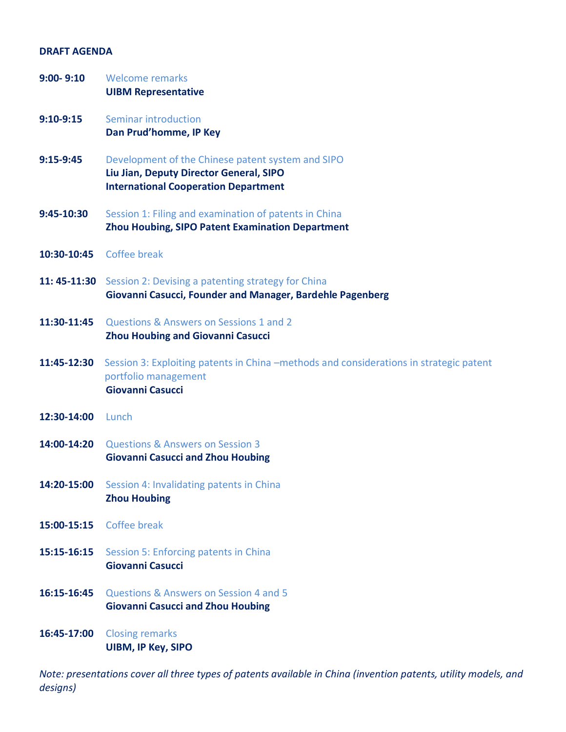#### **DRAFT AGENDA**

| $9:00 - 9:10$ | <b>Welcome remarks</b><br><b>UIBM Representative</b>                                                                                        |
|---------------|---------------------------------------------------------------------------------------------------------------------------------------------|
| $9:10-9:15$   | Seminar introduction<br>Dan Prud'homme, IP Key                                                                                              |
| $9:15-9:45$   | Development of the Chinese patent system and SIPO<br>Liu Jian, Deputy Director General, SIPO<br><b>International Cooperation Department</b> |
| 9:45-10:30    | Session 1: Filing and examination of patents in China<br>Zhou Houbing, SIPO Patent Examination Department                                   |
| 10:30-10:45   | Coffee break                                                                                                                                |
| 11: 45-11:30  | Session 2: Devising a patenting strategy for China<br>Giovanni Casucci, Founder and Manager, Bardehle Pagenberg                             |
| 11:30-11:45   | Questions & Answers on Sessions 1 and 2<br><b>Zhou Houbing and Giovanni Casucci</b>                                                         |
| 11:45-12:30   | Session 3: Exploiting patents in China -methods and considerations in strategic patent<br>portfolio management<br>Giovanni Casucci          |
| 12:30-14:00   | Lunch                                                                                                                                       |
| 14:00-14:20   | <b>Questions &amp; Answers on Session 3</b><br><b>Giovanni Casucci and Zhou Houbing</b>                                                     |
| 14:20-15:00   | Session 4: Invalidating patents in China<br><b>Zhou Houbing</b>                                                                             |
| 15:00-15:15   | Coffee break                                                                                                                                |
| 15:15-16:15   | Session 5: Enforcing patents in China<br>Giovanni Casucci                                                                                   |
| 16:15-16:45   | Questions & Answers on Session 4 and 5<br><b>Giovanni Casucci and Zhou Houbing</b>                                                          |
| 16:45-17:00   | <b>Closing remarks</b><br><b>UIBM, IP Key, SIPO</b>                                                                                         |

*Note: presentations cover all three types of patents available in China (invention patents, utility models, and designs)*